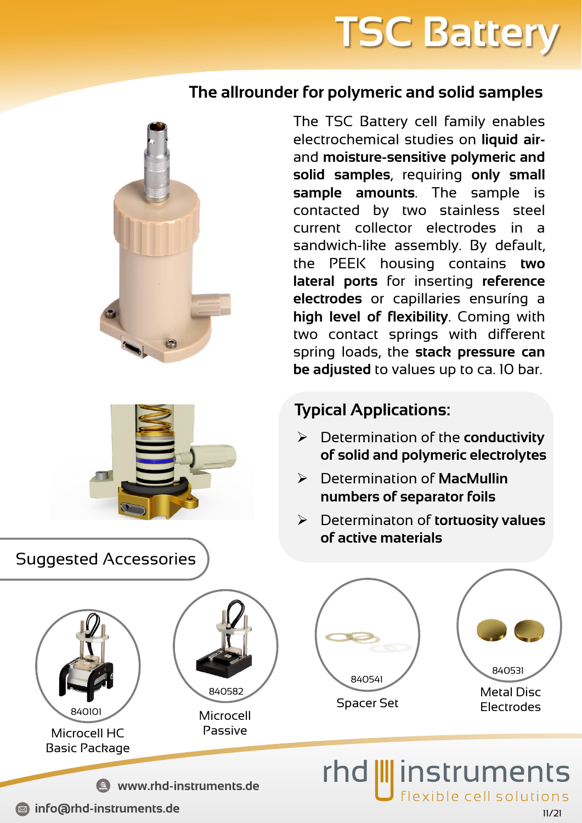# **TSC Battery**

### **The allrounder for polymeric and solid samples**





The TSC Battery cell family enables electrochemical studies on **liquid air**and **moisture-sensitive polymeric and solid samples**, requiring **only small sample amounts**. The sample is contacted by two stainless steel current collector electrodes in a sandwich-like assembly. By default, the PEEK housing contains **two lateral ports** for inserting **reference electrodes** or capillaries ensuríng a **high level of flexibility**. Coming with two contact springs with different spring loads, the **stack pressure can be adjusted** to values up to ca. 10 bar.

### **Typical Applications:**

- ➢ Determination of the **conductivity of solid and polymeric electrolytes**
- ➢ Determination of **MacMullin numbers of separator foils**
- ➢ Determinaton of **tortuosity values of active materials**